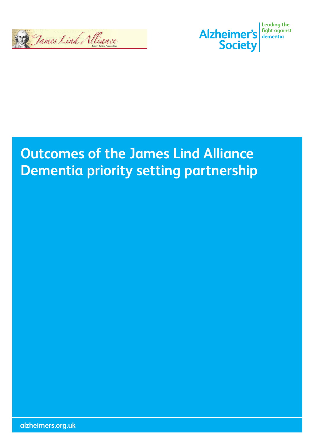



### **Outcomes of the James Lind Alliance Dementia priority setting partnership**

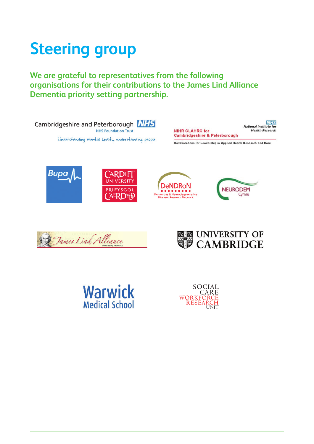# **Steering group**

**We are grateful to representatives from the following organisations for their contributions to the James Lind Alliance Dementia priority setting partnership.**





Collaborations for Leadership in Applied Health Research and Care













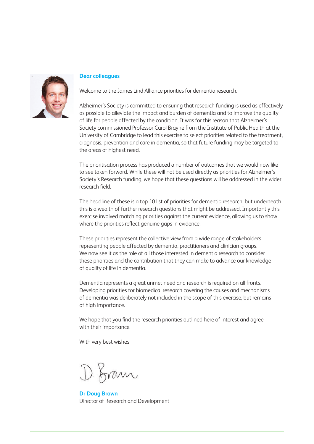

#### **Dear colleagues**

Welcome to the James Lind Alliance priorities for dementia research.

Alzheimer's Society is committed to ensuring that research funding is used as effectively as possible to alleviate the impact and burden of dementia and to improve the quality of life for people affected by the condition. It was for this reason that Alzheimer's Society commissioned Professor Carol Brayne from the Institute of Public Health at the University of Cambridge to lead this exercise to select priorities related to the treatment, diagnosis, prevention and care in dementia, so that future funding may be targeted to the areas of highest need.

The prioritisation process has produced a number of outcomes that we would now like to see taken forward. While these will not be used directly as priorities for Alzheimer's Society's Research funding, we hope that these questions will be addressed in the wider research field.

The headline of these is a top 10 list of priorities for dementia research, but underneath this is a wealth of further research questions that might be addressed. Importantly this exercise involved matching priorities against the current evidence, allowing us to show where the priorities reflect genuine gaps in evidence.

These priorities represent the collective view from a wide range of stakeholders representing people affected by dementia, practitioners and clinician groups. We now see it as the role of all those interested in dementia research to consider these priorities and the contribution that they can make to advance our knowledge of quality of life in dementia.

Dementia represents a great unmet need and research is required on all fronts. Developing priorities for biomedical research covering the causes and mechanisms of dementia was deliberately not included in the scope of this exercise, but remains of high importance.

We hope that you find the research priorities outlined here of interest and agree with their importance.

With very best wishes

1) from

**Dr Doug Brown** Director of Research and Development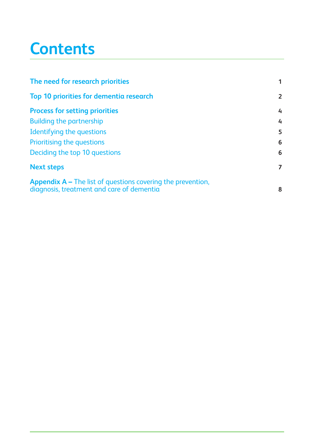# **Contents**

| The need for research priorities                                                                                |                |
|-----------------------------------------------------------------------------------------------------------------|----------------|
| <b>Top 10 priorities for dementia research</b>                                                                  | $\overline{2}$ |
| <b>Process for setting priorities</b>                                                                           | 4              |
| <b>Building the partnership</b>                                                                                 | $\overline{4}$ |
| Identifying the questions                                                                                       | 5              |
| Prioritising the questions                                                                                      | 6              |
| Deciding the top 10 questions                                                                                   | 6              |
| <b>Next steps</b>                                                                                               | $\overline{7}$ |
| <b>Appendix A – The list of questions covering the prevention,</b><br>diagnosis, treatment and care of dementia | 8              |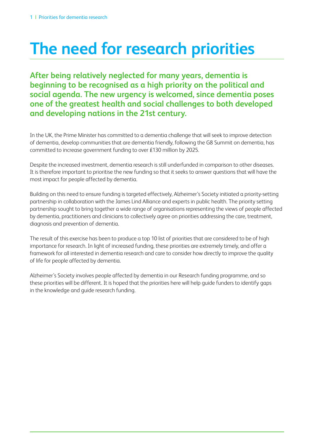# **The need for research priorities**

**After being relatively neglected for many years, dementia is beginning to be recognised as a high priority on the political and social agenda. The new urgency is welcomed, since dementia poses one of the greatest health and social challenges to both developed and developing nations in the 21st century.** 

In the UK, the Prime Minister has committed to a dementia challenge that will seek to improve detection of dementia, develop communities that are dementia friendly, following the G8 Summit on dementia, has committed to increase government funding to over £130 million by 2025.

Despite the increased investment, dementia research is still underfunded in comparison to other diseases. It is therefore important to prioritise the new funding so that it seeks to answer questions that will have the most impact for people affected by dementia.

Building on this need to ensure funding is targeted effectively, Alzheimer's Society initiated a priority-setting partnership in collaboration with the James Lind Alliance and experts in public health. The priority setting partnership sought to bring together a wide range of organisations representing the views of people affected by dementia, practitioners and clinicians to collectively agree on priorities addressing the care, treatment, diagnosis and prevention of dementia.

The result of this exercise has been to produce a top 10 list of priorities that are considered to be of high importance for research. In light of increased funding, these priorities are extremely timely, and offer a framework for all interested in dementia research and care to consider how directly to improve the quality of life for people affected by dementia.

Alzheimer's Society involves people affected by dementia in our Research funding programme, and so these priorities will be different. It is hoped that the priorities here will help guide funders to identify gaps in the knowledge and guide research funding.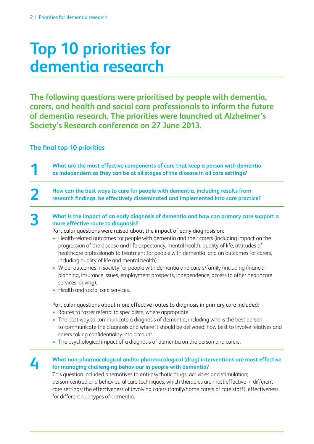# **Top 10 priorities for dementia research**

**The following questions were prioritised by people with dementia, carers, and health and social care professionals to inform the future of dementia research. The priorities were launched at Alzheimer's Society's Research conference on 27 June 2013.**

**The final top 10 priorities**

**1 What are the most effective components of care that keep a person with dementia as independent as they can be at all stages of the disease in all care settings?**

**2 How can the best ways to care for people with dementia, including results from research findings, be effectively disseminated and implemented into care practice?**

**3 What is the impact of an early diagnosis of dementia and how can primary care support a more offective route to diagnosis**? **more effective route to diagnosis?**

Particular questions were raised about the impact of early diagnosis on:

- Health-related outcomes for people with dementia and their carers (including impact on the progression of the disease and life expectancy, mental health, quality of life, attitudes of healthcare professionals to treatment for people with dementia, and on outcomes for carers, including quality of life and mental health).
- Wider outcomes in society for people with dementia and carers/family (including financial planning, insurance issues, employment prospects, independence, access to other healthcare services, driving).
- Health and social care services.

Particular questions about more effective routes to diagnosis in primary care included:

- Routes to faster referral to specialists, where appropriate.
- The best way to communicate a diagnosis of dementia, including who is the best person to communicate the diagnosis and where it should be delivered; how best to involve relatives and carers taking confidentiality into account.
- The psychological impact of a diagnosis of dementia on the person and carers.

### **4 What non-pharmacological and/or pharmacological (drug) interventions are most effective for managing challenging behaviour in people with dementia?**

This question included alternatives to anti-psychotic drugs; activities and stimulation; person-centred and behavioural care techniques; which therapies are most effective in different care settings; the effectiveness of involving carers (family/home carers or care staff); effectiveness for different sub-types of dementia.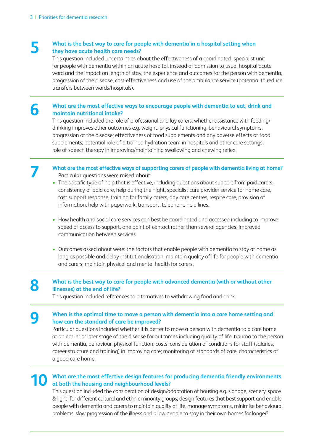### **5 What is the best way to care for people with dementia in a hospital setting when** they have acute hoalth care needs? **they have acute health care needs?**

 This question included uncertainties about the effectiveness of a coordinated, specialist unit for people with dementia within an acute hospital, instead of admission to usual hospital acute ward and the impact on length of stay, the experience and outcomes for the person with dementia, progression of the disease, cost-effectiveness and use of the ambulance service (potential to reduce transfers between wards/hospitals).

#### **6** What are the most effective ways to encourage people with dementia to eat, drink and maintain putritional intelie? **maintain nutritional intake?**

 This question included the role of professional and lay carers; whether assistance with feeding/ drinking improves other outcomes e.g. weight, physical functioning, behavioural symptoms, progression of the disease; effectiveness of food supplements and any adverse effects of food supplements; potential role of a trained hydration team in hospitals and other care settings; role of speech therapy in improving/maintaining swallowing and chewing reflex.

#### **7 What are the most effective ways of supporting carers of people with dementia living at home?** Particular questions were raised about:

- The specific type of help that is effective, including questions about support from paid carers, consistency of paid care, help during the night, specialist care provider service for home care, fast support response, training for family carers, day care centres, respite care, provision of information, help with paperwork, transport, telephone help lines.
- How health and social care services can best be coordinated and accessed including to improve speed of access to support, one point of contact rather than several agencies, improved communication between services.
- Outcomes asked about were: the factors that enable people with dementia to stay at home as long as possible and delay institutionalisation, maintain quality of life for people with dementia and carers, maintain physical and mental health for carers.

#### **8** What is the best way to care for people with advanced dementia (with or without other illnesses) at the end of life? **illnesses) at the end of life?**

This question included references to alternatives to withdrawing food and drink.

#### **9** When is the optimal time to move a person with dementia into a care home setting and <br>
how can the standard of sare be improved? **how can the standard of care be improved?**

 Particular questions included whether it is better to move a person with dementia to a care home at an earlier or later stage of the disease for outcomes including quality of life, trauma to the person with dementia, behaviour, physical function, costs; consideration of conditions for staff (salaries, career structure and training) in improving care; monitoring of standards of care, characteristics of a good care home.

#### **10 What are the most effective design features for producing dementia friendly environments at both the housing and neighbourhood levels?**

 This question included the consideration of design/adaptation of housing e.g. signage, scenery, space & light; for different cultural and ethnic minority groups; design features that best support and enable people with dementia and carers to maintain quality of life, manage symptoms, minimise behavioural problems, slow progression of the illness and allow people to stay in their own homes for longer?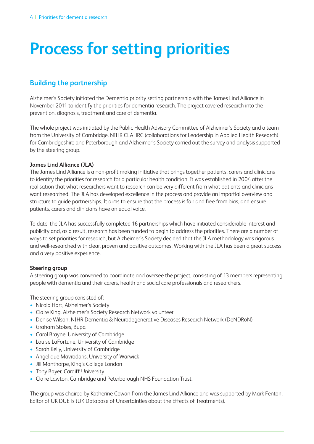# **Process for setting priorities**

### **Building the partnership**

Alzheimer's Society initiated the Dementia priority setting partnership with the James Lind Alliance in November 2011 to identify the priorities for dementia research. The project covered research into the prevention, diagnosis, treatment and care of dementia.

The whole project was initiated by the Public Health Advisory Committee of Alzheimer's Society and a team from the University of Cambridge. NIHR CLAHRC (collaborations for Leadership in Applied Health Research) for Cambridgeshire and Peterborough and Alzheimer's Society carried out the survey and analysis supported by the steering group.

#### **James Lind Alliance (JLA)**

The James Lind Alliance is a non-profit making initiative that brings together patients, carers and clinicians to identify the priorities for research for a particular health condition. It was established in 2004 after the realisation that what researchers want to research can be very different from what patients and clinicians want researched. The JLA has developed excellence in the process and provide an impartial overview and structure to guide partnerships. It aims to ensure that the process is fair and free from bias, and ensure patients, carers and clinicians have an equal voice.

To date, the JLA has successfully completed 16 partnerships which have initiated considerable interest and publicity and, as a result, research has been funded to begin to address the priorities. There are a number of ways to set priorities for research, but Alzheimer's Society decided that the JLA methodology was rigorous and well-researched with clear, proven and positive outcomes. Working with the JLA has been a great success and a very positive experience.

#### **Steering group**

A steering group was convened to coordinate and oversee the project, consisting of 13 members representing people with dementia and their carers, health and social care professionals and researchers.

The steering group consisted of:

- Nicola Hart, Alzheimer's Society
- Claire King, Alzheimer's Society Research Network volunteer
- Denise Wilson, NIHR Dementia & Neurodegenerative Diseases Research Network (DeNDRoN)
- Graham Stokes, Bupa
- Carol Brayne, University of Cambridge
- Louise LaFortune, University of Cambridge
- Sarah Kelly, University of Cambridge
- Angelique Mavrodaris, University of Warwick
- Jill Manthorpe, King's College London
- Tony Bayer, Cardiff University
- Claire Lawton, Cambridge and Peterborough NHS Foundation Trust.

The group was chaired by Katherine Cowan from the James Lind Alliance and was supported by Mark Fenton, Editor of UK DUETs (UK Database of Uncertainties about the Effects of Treatments).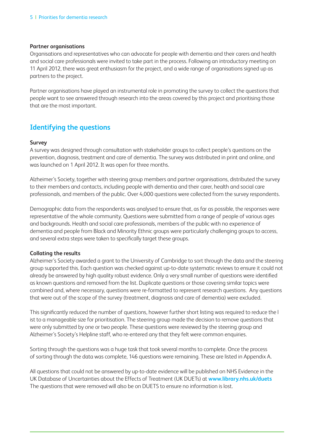#### **Partner organisations**

Organisations and representatives who can advocate for people with dementia and their carers and health and social care professionals were invited to take part in the process. Following an introductory meeting on 11 April 2012, there was great enthusiasm for the project, and a wide range of organisations signed up as partners to the project.

Partner organisations have played an instrumental role in promoting the survey to collect the questions that people want to see answered through research into the areas covered by this project and prioritising those that are the most important.

### **Identifying the questions**

#### **Survey**

A survey was designed through consultation with stakeholder groups to collect people's questions on the prevention, diagnosis, treatment and care of dementia. The survey was distributed in print and online, and was launched on 1 April 2012. It was open for three months.

Alzheimer's Society, together with steering group members and partner organisations, distributed the survey to their members and contacts, including people with dementia and their carer, health and social care professionals, and members of the public. Over 4,000 questions were collected from the survey respondents.

Demographic data from the respondents was analysed to ensure that, as far as possible, the responses were representative of the whole community. Questions were submitted from a range of people of various ages and backgrounds. Health and social care professionals, members of the public with no experience of dementia and people from Black and Minority Ethnic groups were particularly challenging groups to access, and several extra steps were taken to specifically target these groups.

#### **Collating the results**

Alzheimer's Society awarded a grant to the University of Cambridge to sort through the data and the steering group supported this. Each question was checked against up-to-date systematic reviews to ensure it could not already be answered by high quality robust evidence. Only a very small number of questions were identified as known questions and removed from the list. Duplicate questions or those covering similar topics were combined and, where necessary, questions were re-formatted to represent research questions. Any questions that were out of the scope of the survey (treatment, diagnosis and care of dementia) were excluded.

This significantly reduced the number of questions, however further short listing was required to reduce the l ist to a manageable size for prioritisation. The steering group made the decision to remove questions that were only submitted by one or two people. These questions were reviewed by the steering group and Alzheimer's Society's Helpline staff, who re-entered any that they felt were common enquiries.

Sorting through the questions was a huge task that took several months to complete. Once the process of sorting through the data was complete, 146 questions were remaining. These are listed in Appendix A.

All questions that could not be answered by up-to-date evidence will be published on NHS Evidence in the UK Database of Uncertainties about the Effects of Treatment (UK DUETs) at **www.library.nhs.uk/duets** The questions that were removed will also be on DUETS to ensure no information is lost.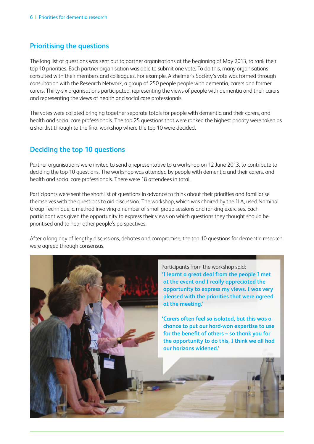### **Prioritising the questions**

The long list of questions was sent out to partner organisations at the beginning of May 2013, to rank their top 10 priorities. Each partner organisation was able to submit one vote. To do this, many organisations consulted with their members and colleagues. For example, Alzheimer's Society's vote was formed through consultation with the Research Network, a group of 250 people people with dementia, carers and former carers. Thirty-six organisations participated, representing the views of people with dementia and their carers and representing the views of health and social care professionals.

The votes were collated bringing together separate totals for people with dementia and their carers, and health and social care professionals. The top 25 questions that were ranked the highest priority were taken as a shortlist through to the final workshop where the top 10 were decided.

### **Deciding the top 10 questions**

Partner organisations were invited to send a representative to a workshop on 12 June 2013, to contribute to deciding the top 10 questions. The workshop was attended by people with dementia and their carers, and health and social care professionals. There were 18 attendees in total.

Participants were sent the short list of questions in advance to think about their priorities and familiarise themselves with the questions to aid discussion. The workshop, which was chaired by the JLA, used Nominal Group Technique, a method involving a number of small group sessions and ranking exercises. Each participant was given the opportunity to express their views on which questions they thought should be prioritised and to hear other people's perspectives.

After a long day of lengthy discussions, debates and compromise, the top 10 questions for dementia research were agreed through consensus.

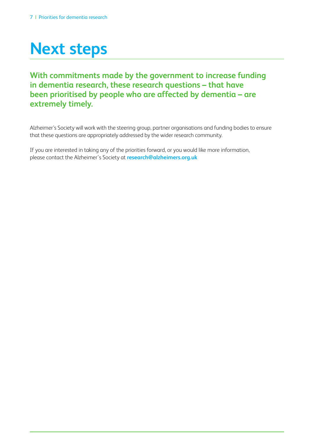# **Next steps**

**With commitments made by the government to increase funding in dementia research, these research questions – that have been prioritised by people who are affected by dementia – are extremely timely.** 

Alzheimer's Society will work with the steering group, partner organisations and funding bodies to ensure that these questions are appropriately addressed by the wider research community.

If you are interested in taking any of the priorities forward, or you would like more information, please contact the Alzheimer's Society at **research@alzheimers.org.uk**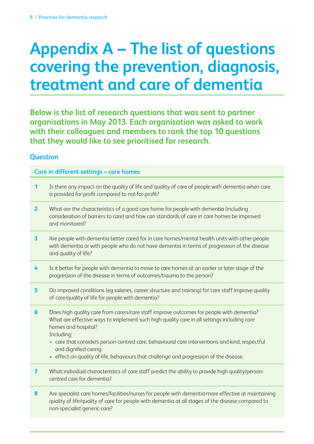# **Appendix A – The list of questions covering the prevention, diagnosis, treatment and care of dementia**

**Below is the list of research questions that was sent to partner organisations in May 2013. Each organisation was asked to work with their colleagues and members to rank the top 10 questions that they would like to see prioritised for research.** 

### **Question**

#### **Care in different settings – care homes**

- **1** Is there any impact on the quality of life and quality of care of people with dementia when care is provided for profit compared to not-for-profit?
- **2** What are the characteristics of a good care home for people with dementia (including consideration of barriers to care) and how can standards of care in care homes be improved and monitored?
- **3** Are people with dementia better cared for in care homes/mental health units with other people with dementia or with people who do not have dementia in terms of progression of the disease and quality of life?
- **4** Is it better for people with dementia to move to care homes at an earlier or later stage of the progression of the disease in terms of outcomes/trauma to the person?
- **5** Do improved conditions (eg salaries, career structure and training) for care staff improve quality of care/quality of life for people with dementia?
- **6** Does high quality care from carers/care staff improve outcomes for people with dementia? What are effective ways to implement such high quality care in all settings including care homes and hospital?

Including:

- care that considers person-centred care, behavioural care interventions and kind, respectful and dignified caring
- effect on quality of life, behaviours that challenge and progression of the disease.
- **7** What individual characteristics of care staff predict the ability to provide high quality/personcentred care for dementia?
- **8** Are specialist care homes/facilities/nurses for people with dementia more effective at maintaining quality of life/quality of care for people with dementia at all stages of the disease compared to non-specialist generic care?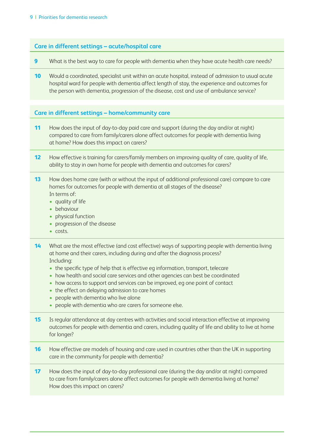#### **Care in different settings – acute/hospital care**

- **9** What is the best way to care for people with dementia when they have acute health care needs?
- **10** Would a coordinated, specialist unit within an acute hospital, instead of admission to usual acute hospital ward for people with dementia affect length of stay, the experience and outcomes for the person with dementia, progression of the disease, cost and use of ambulance service?

#### **Care in different settings – home/community care**

- **11** How does the input of day-to-day paid care and support (during the day and/or at night) compared to care from family/carers alone affect outcomes for people with dementia living at home? How does this impact on carers?
- **12** How effective is training for carers/family members on improving quality of care, quality of life, ability to stay in own home for people with dementia and outcomes for carers?
- **13** How does home care (with or without the input of additional professional care) compare to care homes for outcomes for people with dementia at all stages of the disease? In terms of:
	- quality of life
	- behaviour
	- physical function
	- progression of the disease
	- costs.
- **14** What are the most effective (and cost effective) ways of supporting people with dementia living at home and their carers, including during and after the diagnosis process? Including:
	- the specific type of help that is effective eg information, transport, telecare
	- how health and social care services and other agencies can best be coordinated
	- how access to support and services can be improved, eg one point of contact
	- the effect on delaying admission to care homes
	- people with dementia who live alone
	- people with dementia who are carers for someone else.
- **15** Is regular attendance at day centres with activities and social interaction effective at improving outcomes for people with dementia and carers, including quality of life and ability to live at home for longer?
- **16** How effective are models of housing and care used in countries other than the UK in supporting care in the community for people with dementia?
- **17** How does the input of day-to-day professional care (during the day and/or at night) compared to care from family/carers alone affect outcomes for people with dementia living at home? How does this impact on carers?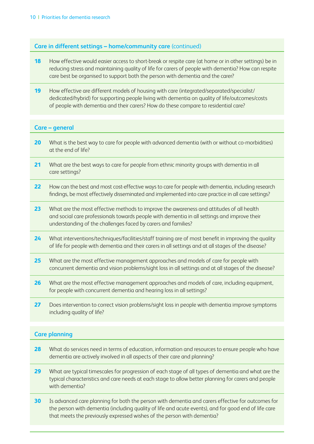#### **Care in different settings – home/community care** (continued)

- **18** How effective would easier access to short-break or respite care (at home or in other settings) be in reducing stress and maintaining quality of life for carers of people with dementia? How can respite care best be organised to support both the person with dementia and the carer?
- 19 How effective are different models of housing with care (integrated/separated/specialist/ dedicated/hybrid) for supporting people living with dementia on quality of life/outcomes/costs of people with dementia and their carers? How do these compare to residential care?

#### **Care – general**

- 20 What is the best way to care for people with advanced dementia (with or without co-morbidities) at the end of life?
- **21** What are the best ways to care for people from ethnic minority groups with dementia in all care settings?
- **22** How can the best and most cost-effective ways to care for people with dementia, including research findings, be most effectively disseminated and implemented into care practice in all care settings?
- **23** What are the most effective methods to improve the awareness and attitudes of all health and social care professionals towards people with dementia in all settings and improve their understanding of the challenges faced by carers and families?
- **24** What interventions/techniques/facilities/staff training are of most benefit in improving the quality of life for people with dementia and their carers in all settings and at all stages of the disease?
- **25** What are the most effective management approaches and models of care for people with concurrent dementia and vision problems/sight loss in all settings and at all stages of the disease?
- **26** What are the most effective management approaches and models of care, including equipment, for people with concurrent dementia and hearing loss in all settings?
- 27 Does intervention to correct vision problems/sight loss in people with dementia improve symptoms including quality of life?

#### **Care planning**

- 28 What do services need in terms of education, information and resources to ensure people who have dementia are actively involved in all aspects of their care and planning?
- **29** What are typical timescales for progression of each stage of all types of dementia and what are the typical characteristics and care needs at each stage to allow better planning for carers and people with dementia?
- **30** Is advanced care planning for both the person with dementia and carers effective for outcomes for the person with dementia (including quality of life and acute events), and for good end of life care that meets the previously expressed wishes of the person with dementia?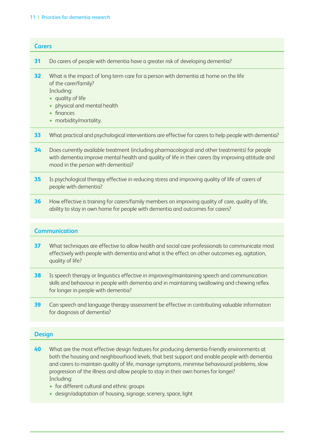#### 11 | Priorities for dementia research

### **Carers 31** Do carers of people with dementia have a greater risk of developing dementia? **32** What is the impact of long term care for a person with dementia at home on the life of the carer/family? Including: • quality of life • physical and mental health • finances • morbidity/mortality. **33** What practical and psychological interventions are effective for carers to help people with dementia? **34** Does currently available treatment (including pharmacological and other treatments) for people with dementia improve mental health and quality of life in their carers (by improving attitude and mood in the person with dementia)? **35** Is psychological therapy effective in reducing stress and improving quality of life of carers of people with dementia? **36** How effective is training for carers/family members on improving quality of care, quality of life,

ability to stay in own home for people with dementia and outcomes for carers?

#### **Communication**

- **37** What techniques are effective to allow health and social care professionals to communicate most effectively with people with dementia and what is the effect on other outcomes eg, agitation, quality of life?
- **38** Is speech therapy or linguistics effective in improving/maintaining speech and communication skills and behaviour in people with dementia and in maintaining swallowing and chewing reflex for longer in people with dementia?
- **39** Can speech and language therapy assessment be effective in contributing valuable information for diagnosis of dementia?

#### **Design**

- **40** What are the most effective design features for producing dementia-friendly environments at both the housing and neighbourhood levels, that best support and enable people with dementia and carers to maintain quality of life, manage symptoms, minimise behavioural problems, slow progression of the illness and allow people to stay in their own homes for longer? Including:
	- for different cultural and ethnic groups
	- design/adaptation of housing, signage, scenery, space, light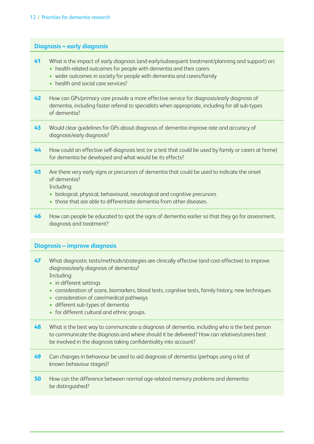#### **Diagnosis – early diagnosis**

- **41** What is the impact of early diagnosis (and early/subsequent treatment/planning and support) on:
	- health-related outcomes for people with dementia and their carers
	- wider outcomes in society for people with dementia and carers/family
	- health and social care services?
- **42** How can GPs/primary care provide a more effective service for diagnosis/early diagnosis of dementia, including faster referral to specialists when appropriate, including for all sub-types of dementia?
- **43** Would clear guidelines for GPs about diagnosis of dementia improve rate and accuracy of diagnosis/early diagnosis?
- **44** How could an effective self-diagnosis test (or a test that could be used by family or carers at home) for dementia be developed and what would be its effects?
- **45** Are there very early signs or precursors of dementia that could be used to indicate the onset of dementia?

Including:

- biological, physical, behavioural, neurological and cognitive precursors
- those that are able to differentiate dementia from other diseases.
- **46** How can people be educated to spot the signs of dementia earlier so that they go for assessment, diagnosis and treatment?

#### **Diagnosis – improve diagnosis**

- **47** What diagnostic tests/methods/strategies are clinically effective (and cost-effective) to improve diagnosis/early diagnosis of dementia? Including:
	- in different settings
	- consideration of scans, biomarkers, blood tests, cognitive tests, family history, new techniques
	- consideration of care/medical pathways
	- different sub-types of dementia
	- for different cultural and ethnic groups.
- **48** What is the best way to communicate a diagnosis of dementia, including who is the best person to communicate the diagnosis and where should it be delivered? How can relatives/carers best be involved in the diagnosis taking confidentiality into account?
- **49** Can changes in behaviour be used to aid diagnosis of dementia (perhaps using a list of known behaviour stages)?
- **50** How can the difference between normal age-related memory problems and dementia be distinguished?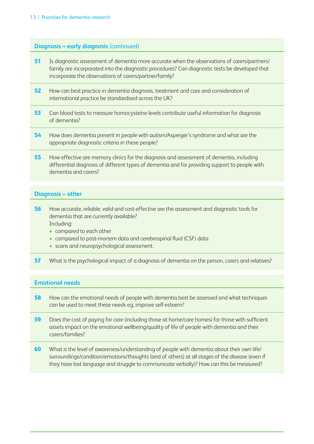#### **Diagnosis – early diagnosis** (continued)

- **51** Is diagnostic assessment of dementia more accurate when the observations of carers/partners/ family are incorporated into the diagnostic procedures? Can diagnostic tests be developed that incorporate the observations of carers/partner/family?
- **52** How can best practice in dementia diagnosis, treatment and care and consideration of international practice be standardised across the UK?
- **53** Can blood tests to measure homocysteine levels contribute useful information for diagnosis of dementia?
- **54** How does dementia present in people with autism/Asperger's syndrome and what are the appropriate diagnostic criteria in these people?
- **55** How effective are memory clinics for the diagnosis and assessment of dementia, including differential diagnosis of different types of dementia and for providing support to people with dementia and carers?

#### **Diagnosis – other**

- **56** How accurate, reliable, valid and cost-effective are the assessment and diagnostic tools for dementia that are currently available? Including:
	- compared to each other
	- compared to post-mortem data and cerebrospinal fluid (CSF) data
	- scans and neuropsychological assessment.
- **57** What is the psychological impact of a diagnosis of dementia on the person, carers and relatives?

#### **Emotional needs**

- **58** How can the emotional needs of people with dementia best be assessed and what techniques can be used to meet these needs eg, improve self-esteem?
- **59** Does the cost of paying for care (including those at home/care homes) for those with sufficient assets impact on the emotional wellbeing/quality of life of people with dementia and their carers/families?
- **60** What is the level of awareness/understanding of people with dementia about their own life/ surroundings/condition/emotions/thoughts (and of others) at all stages of the disease (even if they have lost language and struggle to communicate verbally)? How can this be measured?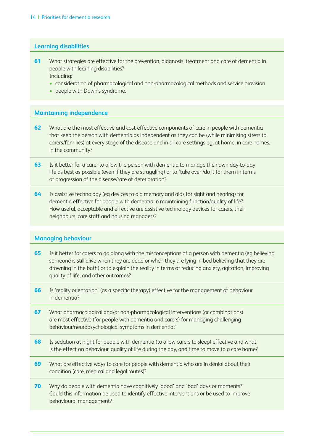#### **Learning disabilities**

- **61** What strategies are effective for the prevention, diagnosis, treatment and care of dementia in people with learning disabilities? Including:
	- consideration of pharmacological and non-pharmacological methods and service provision
	- people with Down's syndrome.

#### **Maintaining independence**

- **62** What are the most effective and cost-effective components of care in people with dementia that keep the person with dementia as independent as they can be (while minimising stress to carers/families) at every stage of the disease and in all care settings eg, at home, in care homes, in the community?
- **63** Is it better for a carer to allow the person with dementia to manage their own day-to-day life as best as possible (even if they are struggling) or to 'take over'/do it for them in terms of progression of the disease/rate of deterioration?
- **64** Is assistive technology (eg devices to aid memory and aids for sight and hearing) for dementia effective for people with dementia in maintaining function/quality of life? How useful, acceptable and effective are assistive technology devices for carers, their neighbours, care staff and housing managers?

#### **Managing behaviour**

- **65** Is it better for carers to go along with the misconceptions of a person with dementia (eg believing someone is still alive when they are dead or when they are lying in bed believing that they are drowning in the bath) or to explain the reality in terms of reducing anxiety, agitation, improving quality of life, and other outcomes?
- **66** Is 'reality orientation' (as a specific therapy) effective for the management of behaviour in dementia?
- **67** What pharmacological and/or non-pharmacological interventions (or combinations) are most effective (for people with dementia and carers) for managing challenging behaviour/neuropsychological symptoms in dementia?
- **68** Is sedation at night for people with dementia (to allow carers to sleep) effective and what is the effect on behaviour, quality of life during the day, and time to move to a care home?
- **69** What are effective ways to care for people with dementia who are in denial about their condition (care, medical and legal routes)?
- **70** Why do people with dementia have cognitively 'good' and 'bad' days or moments? Could this information be used to identify effective interventions or be used to improve behavioural management?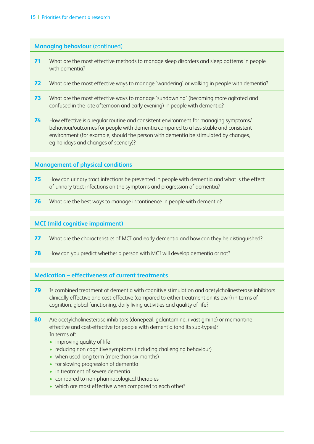#### **Managing behaviour** (continued)

- **71** What are the most effective methods to manage sleep disorders and sleep patterns in people with dementia?
- **72** What are the most effective ways to manage 'wandering' or walking in people with dementia?
- **73** What are the most effective ways to manage 'sundowning' (becoming more agitated and confused in the late afternoon and early evening) in people with dementia?
- **74** How effective is a regular routine and consistent environment for managing symptoms/ behaviour/outcomes for people with dementia compared to a less stable and consistent environment (for example, should the person with dementia be stimulated by changes, eg holidays and changes of scenery)?

#### **Management of physical conditions**

- **75** How can urinary tract infections be prevented in people with dementia and what is the effect of urinary tract infections on the symptoms and progression of dementia?
- **76** What are the best ways to manage incontinence in people with dementia?

#### **MCI (mild cognitive impairment)**

- **77** What are the characteristics of MCI and early dementia and how can they be distinguished?
- **78** How can you predict whether a person with MCI will develop dementia or not?

#### **Medication – effectiveness of current treatments**

- **79** Is combined treatment of dementia with cognitive stimulation and acetylcholinesterase inhibitors clinically effective and cost-effective (compared to either treatment on its own) in terms of cognition, global functioning, daily living activities and quality of life?
- **80** Are acetylcholinesterase inhibitors (donepezil, galantamine, rivastigmine) or memantine effective and cost-effective for people with dementia (and its sub-types)? In terms of:
	- improving quality of life
	- reducing non cognitive symptoms (including challenging behaviour)
	- when used long term (more than six months)
	- for slowing progression of dementia
	- in treatment of severe dementia
	- compared to non-pharmacological therapies
	- which are most effective when compared to each other?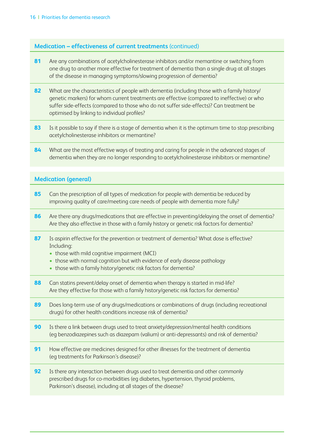#### **Medication – effectiveness of current treatments** (continued)

- **81** Are any combinations of acetylcholinesterase inhibitors and/or memantine or switching from one drug to another more effective for treatment of dementia than a single drug at all stages of the disease in managing symptoms/slowing progression of dementia?
- **82** What are the characteristics of people with dementia (including those with a family history/ genetic markers) for whom current treatments are effective (compared to ineffective) or who suffer side-effects (compared to those who do not suffer side-effects)? Can treatment be optimised by linking to individual profiles?
- **83** Is it possible to say if there is a stage of dementia when it is the optimum time to stop prescribing acetylcholinesterase inhibitors or memantine?
- 84 What are the most effective ways of treating and caring for people in the advanced stages of dementia when they are no longer responding to acetylcholinesterase inhibitors or memantine?

#### **Medication (general)**

- **85** Can the prescription of all types of medication for people with dementia be reduced by improving quality of care/meeting care needs of people with dementia more fully?
- 86 Are there any drugs/medications that are effective in preventing/delaying the onset of dementia? Are they also effective in those with a family history or genetic risk factors for dementia?
- **87** Is aspirin effective for the prevention or treatment of dementia? What dose is effective? Including:
	- those with mild cognitive impairment (MCI)
	- those with normal cognition but with evidence of early disease pathology
	- those with a family history/genetic risk factors for dementia?
- **88** Can statins prevent/delay onset of dementia when therapy is started in mid-life? Are they effective for those with a family history/genetic risk factors for dementia?
- **89** Does long-term use of any drugs/medications or combinations of drugs (including recreational drugs) for other health conditions increase risk of dementia?
- **90** Is there a link between drugs used to treat anxiety/depression/mental health conditions (eg benzodiazepines such as diazepam (valium) or anti-depressants) and risk of dementia?
- **91** How effective are medicines designed for other illnesses for the treatment of dementia (eg treatments for Parkinson's disease)?
- **92** Is there any interaction between drugs used to treat dementia and other commonly prescribed drugs for co-morbidities (eg diabetes, hypertension, thyroid problems, Parkinson's disease), including at all stages of the disease?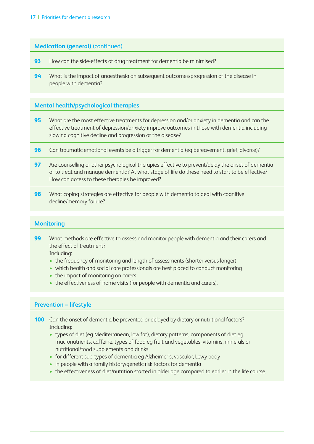#### **Medication (general)** (continued)

- **93** How can the side-effects of drug treatment for dementia be minimised?
- **94** What is the impact of anaesthesia on subsequent outcomes/progression of the disease in people with dementia?

#### **Mental health/psychological therapies**

- **95** What are the most effective treatments for depression and/or anxiety in dementia and can the effective treatment of depression/anxiety improve outcomes in those with dementia including slowing cognitive decline and progression of the disease?
- **96** Can traumatic emotional events be a trigger for dementia (eg bereavement, grief, divorce)?
- **97** Are counselling or other psychological therapies effective to prevent/delay the onset of dementia or to treat and manage dementia? At what stage of life do these need to start to be effective? How can access to these therapies be improved?
- **98** What coping strategies are effective for people with dementia to deal with cognitive decline/memory failure?

#### **Monitoring**

**99** What methods are effective to assess and monitor people with dementia and their carers and the effect of treatment?

Including:

- the frequency of monitoring and length of assessments (shorter versus longer)
- which health and social care professionals are best placed to conduct monitoring
- the impact of monitoring on carers
- the effectiveness of home visits (for people with dementia and carers).

#### **Prevention – lifestyle**

**100** Can the onset of dementia be prevented or delayed by dietary or nutritional factors? Including:

- types of diet (eg Mediterranean, low fat), dietary patterns, components of diet eg macronutrients, caffeine, types of food eg fruit and vegetables, vitamins, minerals or nutritional/food supplements and drinks
- for different sub-types of dementia eg Alzheimer's, vascular, Lewy body
- in people with a family history/genetic risk factors for dementia
- the effectiveness of diet/nutrition started in older age compared to earlier in the life course.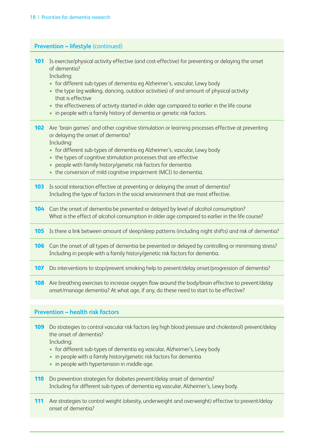| <b>Prevention - lifestyle (continued)</b> |                                                                                                                                                                                                                                                                                                                                                                                                                                                                                                   |
|-------------------------------------------|---------------------------------------------------------------------------------------------------------------------------------------------------------------------------------------------------------------------------------------------------------------------------------------------------------------------------------------------------------------------------------------------------------------------------------------------------------------------------------------------------|
| 101<br>$\bullet$                          | Is exercise/physical activity effective (and cost-effective) for preventing or delaying the onset<br>of dementia?<br>Including:<br>• for different sub-types of dementia eg Alzheimer's, vascular, Lewy body<br>• the type (eg walking, dancing, outdoor activities) of and amount of physical activity<br>that is effective<br>the effectiveness of activity started in older age compared to earlier in the life course<br>in people with a family history of dementia or genetic risk factors. |
| 102                                       | Are 'brain games' and other cognitive stimulation or learning processes effective at preventing<br>or delaying the onset of dementia?<br>Including:<br>• for different sub-types of dementia eg Alzheimer's, vascular, Lewy body<br>the types of cognitive stimulation processes that are effective<br>people with family history/genetic risk factors for dementia<br>• the conversion of mild cognitive impairment (MCI) to dementia.                                                           |
| 103                                       | Is social interaction effective at preventing or delaying the onset of dementia?<br>Including the type of factors in the social environment that are most effective.                                                                                                                                                                                                                                                                                                                              |
| 104                                       | Can the onset of dementia be prevented or delayed by level of alcohol consumption?<br>What is the effect of alcohol consumption in older age compared to earlier in the life course?                                                                                                                                                                                                                                                                                                              |
|                                           | 105 Is there a link between amount of sleep/sleep patterns (including night shifts) and risk of dementia?                                                                                                                                                                                                                                                                                                                                                                                         |
|                                           | 106 Can the onset of all types of dementia be prevented or delayed by controlling or minimising stress?<br>Including in people with a family history/genetic risk factors for dementia.                                                                                                                                                                                                                                                                                                           |
| 107                                       | Do interventions to stop/prevent smoking help to prevent/delay onset/progression of dementia?                                                                                                                                                                                                                                                                                                                                                                                                     |
| 108                                       | Are breathing exercises to increase oxygen flow around the body/brain effective to prevent/delay<br>onset/manage dementia? At what age, if any, do these need to start to be effective?                                                                                                                                                                                                                                                                                                           |
|                                           | <b>Prevention - health risk factors</b>                                                                                                                                                                                                                                                                                                                                                                                                                                                           |
|                                           | 100 Do strategies to control vascular risk factors (eq bigb blood pressure and cholesterol) prevent (delay                                                                                                                                                                                                                                                                                                                                                                                        |

cular risk factors (eg high blood pressure and cholesterol) the onset of dementia?

Including:

- for different sub-types of dementia eg vascular, Alzheimer's, Lewy body
- in people with a family history/genetic risk factors for dementia
- in people with hypertension in middle age.
- **110** Do prevention strategies for diabetes prevent/delay onset of dementia? Including for different sub-types of dementia eg vascular, Alzheimer's, Lewy body.
- 111 Are strategies to control weight (obesity, underweight and overweight) effective to prevent/delay onset of dementia?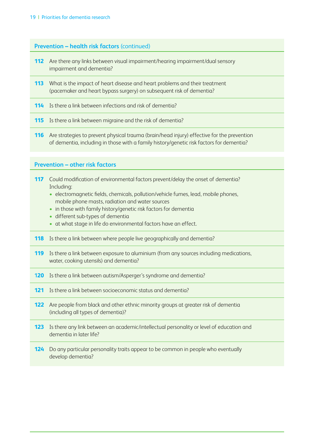#### **Prevention – health risk factors** (continued)

- **112** Are there any links between visual impairment/hearing impairment/dual sensory impairment and dementia?
- **113** What is the impact of heart disease and heart problems and their treatment (pacemaker and heart bypass surgery) on subsequent risk of dementia?
- **114** Is there a link between infections and risk of dementia?
- **115** Is there a link between migraine and the risk of dementia?
- **116** Are strategies to prevent physical trauma (brain/head injury) effective for the prevention of dementia, including in those with a family history/genetic risk factors for dementia?

#### **Prevention – other risk factors**

- **117** Could modification of environmental factors prevent/delay the onset of dementia? Including:
	- electromagnetic fields, chemicals, pollution/vehicle fumes, lead, mobile phones, mobile phone masts, radiation and water sources
	- in those with family history/genetic risk factors for dementia
	- different sub-types of dementia
	- at what stage in life do environmental factors have an effect.
- **118** Is there a link between where people live geographically and dementia?
- **119** Is there a link between exposure to aluminium (from any sources including medications, water, cooking utensils) and dementia?
- **120** Is there a link between autism/Asperger's syndrome and dementia?
- **121** Is there a link between socioeconomic status and dementia?
- **122** Are people from black and other ethnic minority groups at greater risk of dementia (including all types of dementia)?
- **123** Is there any link between an academic/intellectual personality or level of education and dementia in later life?
- **124** Do any particular personality traits appear to be common in people who eventually develop dementia?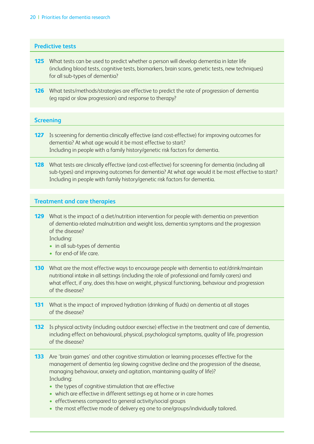#### **Predictive tests**

- **125** What tests can be used to predict whether a person will develop dementia in later life (including blood tests, cognitive tests, biomarkers, brain scans, genetic tests, new techniques) for all sub-types of dementia?
- **126** What tests/methods/strategies are effective to predict the rate of progression of dementia (eg rapid or slow progression) and response to therapy?

#### **Screening**

 $\overline{a}$ 

- 127 Is screening for dementia clinically effective (and cost-effective) for improving outcomes for dementia? At what age would it be most effective to start? Including in people with a family history/genetic risk factors for dementia.
- **128** What tests are clinically effective (and cost-effective) for screening for dementia (including all sub-types) and improving outcomes for dementia? At what age would it be most effective to start? Including in people with family history/genetic risk factors for dementia.

#### **Treatment and care therapies**

**129** What is the impact of a diet/nutrition intervention for people with dementia on prevention of dementia-related malnutrition and weight loss, dementia symptoms and the progression of the disease?

Including:

- in all sub-types of dementia
- for end-of life care.
- **130** What are the most effective ways to encourage people with dementia to eat/drink/maintain nutritional intake in all settings (including the role of professional and family carers) and what effect, if any, does this have on weight, physical functioning, behaviour and progression of the disease?
- **131** What is the impact of improved hydration (drinking of fluids) on dementia at all stages of the disease?
- **132** Is physical activity (including outdoor exercise) effective in the treatment and care of dementia, including effect on behavioural, physical, psychological symptoms, quality of life, progression of the disease?
- **133** Are 'brain games' and other cognitive stimulation or learning processes effective for the management of dementia (eg slowing cognitive decline and the progression of the disease, managing behaviour, anxiety and agitation, maintaining quality of life)? Including:
	- the types of cognitive stimulation that are effective
	- which are effective in different settings eg at home or in care homes
	- effectiveness compared to general activity/social groups
	- the most effective mode of delivery eg one to one/groups/individually tailored.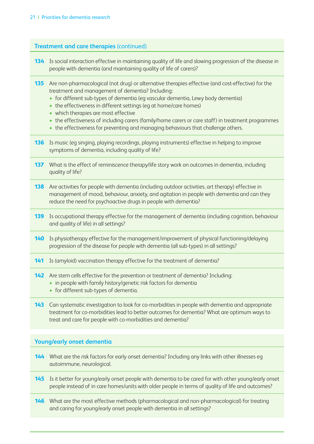#### **Treatment and care therapies** (continued)

- **134** Is social interaction effective in maintaining quality of life and slowing progression of the disease in people with dementia (and maintaining quality of life of carers)?
- **135** Are non-pharmacological (not drug) or alternative therapies effective (and cost-effective) for the treatment and management of dementia? Including:
	- for different sub-types of dementia (eg vascular dementia, Lewy body dementia)
	- the effectiveness in different settings (eg at home/care homes)
	- which therapies are most effective
	- the effectiveness of including carers (family/home carers or care staff) in treatment programmes
	- the effectiveness for preventing and managing behaviours that challenge others.
- **136** Is music (eg singing, playing recordings, playing instruments) effective in helping to improve symptoms of dementia, including quality of life?
- **137** What is the effect of reminiscence therapy/life story work on outcomes in dementia, including quality of life?
- **138** Are activities for people with dementia (including outdoor activities, art therapy) effective in management of mood, behaviour, anxiety, and agitation in people with dementia and can they reduce the need for psychoactive drugs in people with dementia?
- **139** Is occupational therapy effective for the management of dementia (including cognition, behaviour and quality of life) in all settings?
- **140** Is physiotherapy effective for the management/improvement of physical functioning/delaying progression of the disease for people with dementia (all sub-types) in all settings?
- **141** Is (amyloid) vaccination therapy effective for the treatment of dementia?
- **142** Are stem cells effective for the prevention or treatment of dementia? Including:
	- in people with family history/genetic risk factors for dementia
	- for different sub-types of dementia.
- **143** Can systematic investigation to look for co-morbidities in people with dementia and appropriate treatment for co-morbidities lead to better outcomes for dementia? What are optimum ways to treat and care for people with co-morbidities and dementia?

#### **Young/early onset dementia**

- **144** What are the risk factors for early onset dementia? Including any links with other illnesses eg autoimmune, neurological.
- **145** Is it better for young/early onset people with dementia to be cared for with other young/early onset people instead of in care homes/units with older people in terms of quality of life and outcomes?
- **146** What are the most effective methods (pharmacological and non-pharmacological) for treating and caring for young/early onset people with dementia in all settings?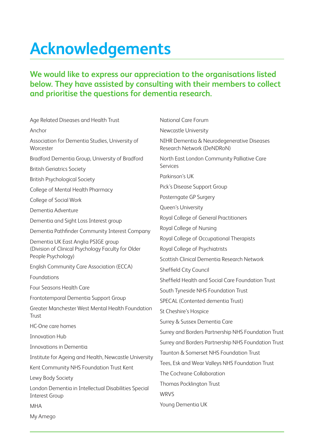# **Acknowledgements**

### **We would like to express our appreciation to the organisations listed below. They have assisted by consulting with their members to collect and prioritise the questions for dementia research.**

Age Related Diseases and Health Trust Anchor Association for Dementia Studies, University of **Worcester** Bradford Dementia Group, University of Bradford British Geriatrics Society British Psychological Society College of Mental Health Pharmacy College of Social Work Dementia Adventure Dementia and Sight Loss Interest group Dementia Pathfinder Community Interest Company Dementia UK East Anglia PSIGE group (Division of Clinical Psychology Faculty for Older People Psychology) English Community Care Association (ECCA) Foundations Four Seasons Health Care Frontotemporal Dementia Support Group Greater Manchester West Mental Health Foundation Trust HC-One care homes Innovation Hub Innovations in Dementia Institute for Ageing and Health, Newcastle University Kent Community NHS Foundation Trust Kent Lewy Body Society London Dementia in Intellectual Disabilities Special Interest Group MHA My Amego National Care Forum Newcastle University NIHR Dementia & Neurodegenerative Diseases Research Network (DeNDRoN) North East London Community Palliative Care Services Parkinson's UK Pick's Disease Support Group Posterngate GP Surgery Queen's University Royal College of General Practitioners Royal College of Nursing Royal College of Occupational Therapists Royal College of Psychiatrists Scottish Clinical Dementia Research Network Sheffield City Council Sheffield Health and Social Care Foundation Trust South Tyneside NHS Foundation Trust SPECAL (Contented dementia Trust) St Cheshire's Hospice Surrey & Sussex Dementia Care Surrey and Borders Partnership NHS Foundation Trust Surrey and Borders Partnership NHS Foundation Trust Taunton & Somerset NHS Foundation Trust Tees, Esk and Wear Valleys NHS Foundation Trust The Cochrane Collaboration Thomas Pocklington Trust WRVS Young Dementia UK